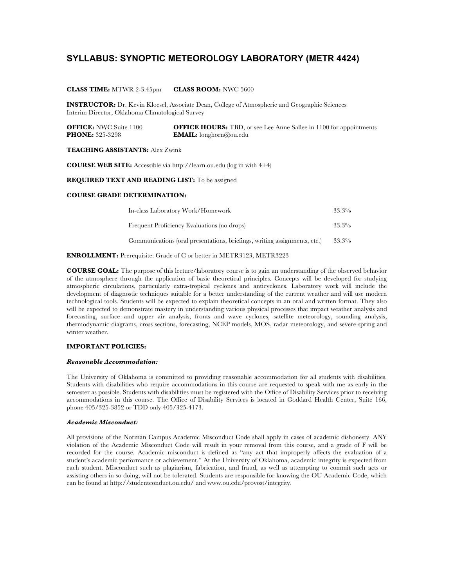# **SYLLABUS: SYNOPTIC METEOROLOGY LABORATORY (METR 4424)**

### **CLASS TIME:** MTWR 2-3:45pm **CLASS ROOM:** NWC 5600

**INSTRUCTOR:** Dr. Kevin Kloesel, Associate Dean, College of Atmospheric and Geographic Sciences Interim Director, Oklahoma Climatological Survey

**OFFICE:** NWC Suite 1100 **OFFICE HOURS:** TBD, or see Lee Anne Sallee in 1100 for appointments **PHONE:** 325-3298 **EMAIL:** longhorn@ou.edu

### **TEACHING ASSISTANTS:** Alex Zwink

**COURSE WEB SITE:** Accessible via http://learn.ou.edu (log in with 4+4)

**REQUIRED TEXT AND READING LIST:** To be assigned

### **COURSE GRADE DETERMINATION:**

| In-class Laboratory Work/Homework                                         | $33.3\%$ |
|---------------------------------------------------------------------------|----------|
| Frequent Proficiency Evaluations (no drops)                               | $33.3\%$ |
| Communications (oral presentations, briefings, writing assignments, etc.) | $33.3\%$ |

**ENROLLMENT:** Prerequisite: Grade of C or better in METR3123, METR3223

**COURSE GOAL:** The purpose of this lecture/laboratory course is to gain an understanding of the observed behavior of the atmosphere through the application of basic theoretical principles. Concepts will be developed for studying atmospheric circulations, particularly extra-tropical cyclones and anticyclones. Laboratory work will include the development of diagnostic techniques suitable for a better understanding of the current weather and will use modern technological tools. Students will be expected to explain theoretical concepts in an oral and written format. They also will be expected to demonstrate mastery in understanding various physical processes that impact weather analysis and forecasting, surface and upper air analysis, fronts and wave cyclones, satellite meteorology, sounding analysis, thermodynamic diagrams, cross sections, forecasting, NCEP models, MOS, radar meteorology, and severe spring and winter weather.

## **IMPORTANT POLICIES:**

#### *Reasonable Accommodation:*

The University of Oklahoma is committed to providing reasonable accommodation for all students with disabilities. Students with disabilities who require accommodations in this course are requested to speak with me as early in the semester as possible. Students with disabilities must be registered with the Office of Disability Services prior to receiving accommodations in this course. The Office of Disability Services is located in Goddard Health Center, Suite 166, phone 405/325-3852 or TDD only 405/325-4173.

### *Academic Misconduct:*

All provisions of the Norman Campus Academic Misconduct Code shall apply in cases of academic dishonesty. ANY violation of the Academic Misconduct Code will result in your removal from this course, and a grade of F will be recorded for the course. Academic misconduct is defined as "any act that improperly affects the evaluation of a student's academic performance or achievement." At the University of Oklahoma, academic integrity is expected from each student. Misconduct such as plagiarism, fabrication, and fraud, as well as attempting to commit such acts or assisting others in so doing, will not be tolerated. Students are responsible for knowing the OU Academic Code, which can be found at http://studentconduct.ou.edu/ and www.ou.edu/provost/integrity.